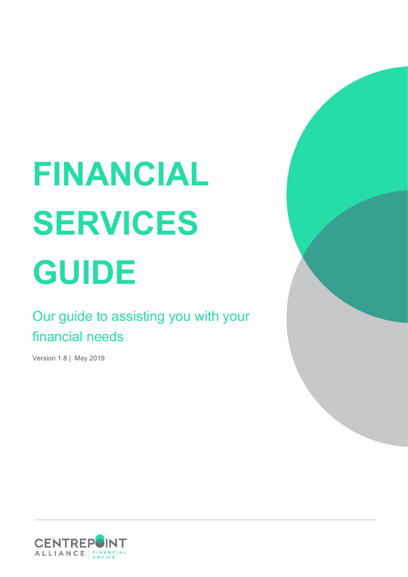# **FINANCIAL SERVICES GUIDE**

# Our guide to assisting you with your financial needs

Version 1.8 | May 2019



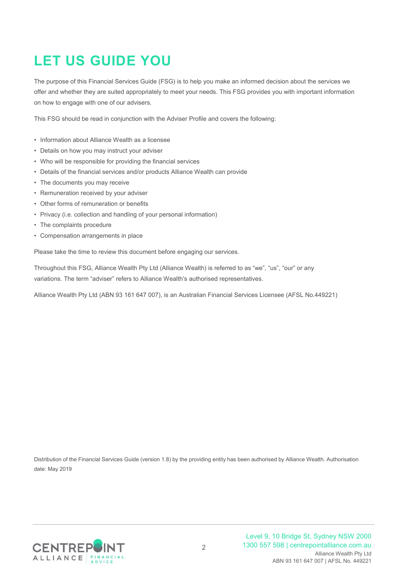# **LET US GUIDE YOU**

The purpose of this Financial Services Guide (FSG) is to help you make an informed decision about the services we offer and whether they are suited appropriately to meet your needs. This FSG provides you with important information on how to engage with one of our advisers.

This FSG should be read in conjunction with the Adviser Profile and covers the following:

- Information about Alliance Wealth as a licensee
- Details on how you may instruct your adviser
- Who will be responsible for providing the financial services
- Details of the financial services and/or products Alliance Wealth can provide
- The documents you may receive
- Remuneration received by your adviser
- Other forms of remuneration or benefits
- Privacy (i.e. collection and handling of your personal information)
- The complaints procedure
- Compensation arrangements in place

Please take the time to review this document before engaging our services.

Throughout this FSG, Alliance Wealth Pty Ltd (Alliance Wealth) is referred to as "we", "us", "our" or any variations. The term "adviser" refers to Alliance Wealth's authorised representatives.

Alliance Wealth Pty Ltd (ABN 93 161 647 007), is an Australian Financial Services Licensee (AFSL No.449221)

Distribution of the Financial Services Guide (version 1.8) by the providing entity has been authorised by Alliance Wealth. Authorisation date: May 2019

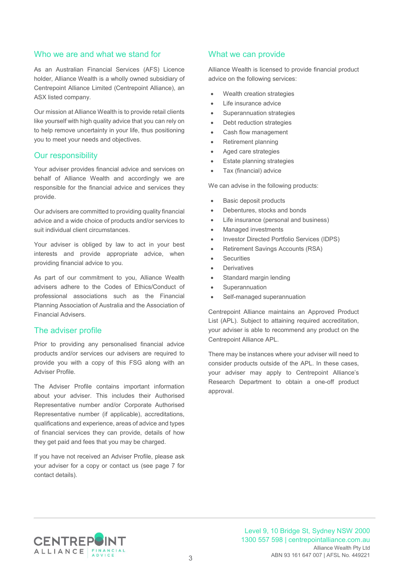#### Who we are and what we stand for

As an Australian Financial Services (AFS) Licence holder, Alliance Wealth is a wholly owned subsidiary of Centrepoint Alliance Limited (Centrepoint Alliance), an ASX listed company.

Our mission at Alliance Wealth is to provide retail clients like yourself with high quality advice that you can rely on to help remove uncertainty in your life, thus positioning you to meet your needs and objectives.

#### Our responsibility

Your adviser provides financial advice and services on behalf of Alliance Wealth and accordingly we are responsible for the financial advice and services they provide.

Our advisers are committed to providing quality financial advice and a wide choice of products and/or services to suit individual client circumstances.

Your adviser is obliged by law to act in your best interests and provide appropriate advice, when providing financial advice to you.

As part of our commitment to you, Alliance Wealth advisers adhere to the Codes of Ethics/Conduct of professional associations such as the Financial Planning Association of Australia and the Association of Financial Advisers.

#### The adviser profile

Prior to providing any personalised financial advice products and/or services our advisers are required to provide you with a copy of this FSG along with an Adviser Profile.

The Adviser Profile contains important information about your adviser. This includes their Authorised Representative number and/or Corporate Authorised Representative number (if applicable), accreditations, qualifications and experience, areas of advice and types of financial services they can provide, details of how they get paid and fees that you may be charged.

If you have not received an Adviser Profile, please ask your adviser for a copy or contact us (see page 7 for contact details).

#### What we can provide

Alliance Wealth is licensed to provide financial product advice on the following services:

- Wealth creation strategies
- Life insurance advice
- Superannuation strategies
- Debt reduction strategies
- Cash flow management
- Retirement planning
- Aged care strategies
- Estate planning strategies
- Tax (financial) advice

We can advise in the following products:

- Basic deposit products
- Debentures, stocks and bonds
- Life insurance (personal and business)
- Managed investments
- Investor Directed Portfolio Services (IDPS)
- Retirement Savings Accounts (RSA)
- **Securities**
- **Derivatives**
- Standard margin lending
- **Superannuation**
- Self-managed superannuation

Centrepoint Alliance maintains an Approved Product List (APL). Subject to attaining required accreditation, your adviser is able to recommend any product on the Centrepoint Alliance APL.

There may be instances where your adviser will need to consider products outside of the APL. In these cases, your adviser may apply to Centrepoint Alliance's Research Department to obtain a one-off product approval.

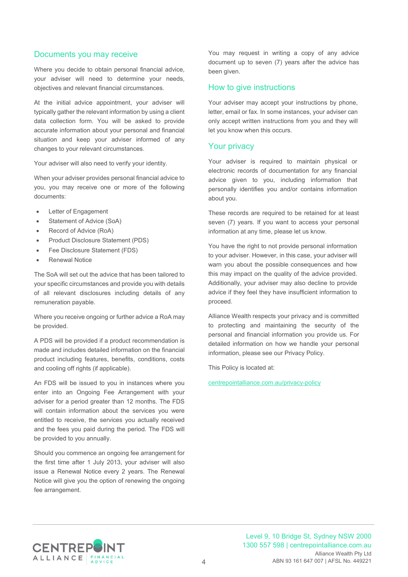#### Documents you may receive

Where you decide to obtain personal financial advice, your adviser will need to determine your needs, objectives and relevant financial circumstances.

At the initial advice appointment, your adviser will typically gather the relevant information by using a client data collection form. You will be asked to provide accurate information about your personal and financial situation and keep your adviser informed of any changes to your relevant circumstances.

Your adviser will also need to verify your identity.

When your adviser provides personal financial advice to you, you may receive one or more of the following documents:

- Letter of Engagement
- Statement of Advice (SoA)
- Record of Advice (RoA)
- Product Disclosure Statement (PDS)
- Fee Disclosure Statement (FDS)
- **Renewal Notice**

The SoA will set out the advice that has been tailored to your specific circumstances and provide you with details of all relevant disclosures including details of any remuneration payable.

Where you receive ongoing or further advice a RoA may be provided.

A PDS will be provided if a product recommendation is made and includes detailed information on the financial product including features, benefits, conditions, costs and cooling off rights (if applicable).

An FDS will be issued to you in instances where you enter into an Ongoing Fee Arrangement with your adviser for a period greater than 12 months. The FDS will contain information about the services you were entitled to receive, the services you actually received and the fees you paid during the period. The FDS will be provided to you annually.

Should you commence an ongoing fee arrangement for the first time after 1 July 2013, your adviser will also issue a Renewal Notice every 2 years. The Renewal Notice will give you the option of renewing the ongoing fee arrangement.

You may request in writing a copy of any advice document up to seven (7) years after the advice has been given.

#### How to give instructions

Your adviser may accept your instructions by phone, letter, email or fax. In some instances, your adviser can only accept written instructions from you and they will let you know when this occurs.

#### Your privacy

Your adviser is required to maintain physical or electronic records of documentation for any financial advice given to you, including information that personally identifies you and/or contains information about you.

These records are required to be retained for at least seven (7) years. If you want to access your personal information at any time, please let us know.

You have the right to not provide personal information to your adviser. However, in this case, your adviser will warn you about the possible consequences and how this may impact on the quality of the advice provided. Additionally, your adviser may also decline to provide advice if they feel they have insufficient information to proceed.

Alliance Wealth respects your privacy and is committed to protecting and maintaining the security of the personal and financial information you provide us. For detailed information on how we handle your personal information, please see our Privacy Policy.

This Policy is located at:

[centrepointalliance.com.au/privacy-policy](http://www.centrepointalliance.com.au/privacy-policy/)

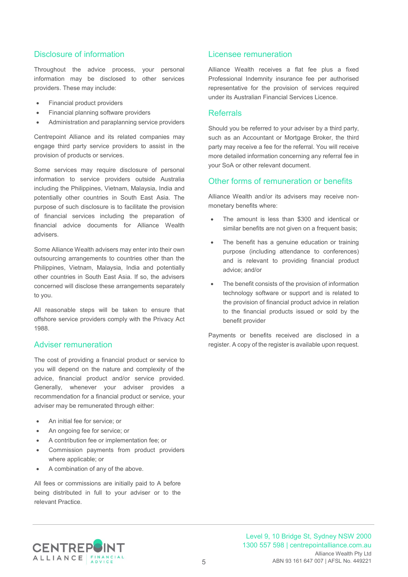#### Disclosure of information

Throughout the advice process, your personal information may be disclosed to other services providers. These may include:

- Financial product providers
- Financial planning software providers
- Administration and paraplanning service providers

Centrepoint Alliance and its related companies may engage third party service providers to assist in the provision of products or services.

Some services may require disclosure of personal information to service providers outside Australia including the Philippines, Vietnam, Malaysia, India and potentially other countries in South East Asia. The purpose of such disclosure is to facilitate the provision of financial services including the preparation of financial advice documents for Alliance Wealth advisers.

Some Alliance Wealth advisers may enter into their own outsourcing arrangements to countries other than the Philippines, Vietnam, Malaysia, India and potentially other countries in South East Asia. If so, the advisers concerned will disclose these arrangements separately to you.

All reasonable steps will be taken to ensure that offshore service providers comply with the Privacy Act 1988.

#### Adviser remuneration

The cost of providing a financial product or service to you will depend on the nature and complexity of the advice, financial product and/or service provided. Generally, whenever your adviser provides a recommendation for a financial product or service, your adviser may be remunerated through either:

- An initial fee for service; or
- An ongoing fee for service; or
- A contribution fee or implementation fee; or
- Commission payments from product providers where applicable; or
- A combination of any of the above.

All fees or commissions are initially paid to A before being distributed in full to your adviser or to the relevant Practice.

#### Licensee remuneration

Alliance Wealth receives a flat fee plus a fixed Professional Indemnity insurance fee per authorised representative for the provision of services required under its Australian Financial Services Licence.

#### Referrals

Should you be referred to your adviser by a third party, such as an Accountant or Mortgage Broker, the third party may receive a fee for the referral. You will receive more detailed information concerning any referral fee in your SoA or other relevant document.

#### Other forms of remuneration or benefits

Alliance Wealth and/or its advisers may receive nonmonetary benefits where:

- The amount is less than \$300 and identical or similar benefits are not given on a frequent basis;
- The benefit has a genuine education or training purpose (including attendance to conferences) and is relevant to providing financial product advice; and/or
- The benefit consists of the provision of information technology software or support and is related to the provision of financial product advice in relation to the financial products issued or sold by the benefit provider

Payments or benefits received are disclosed in a register. A copy of the register is available upon request.

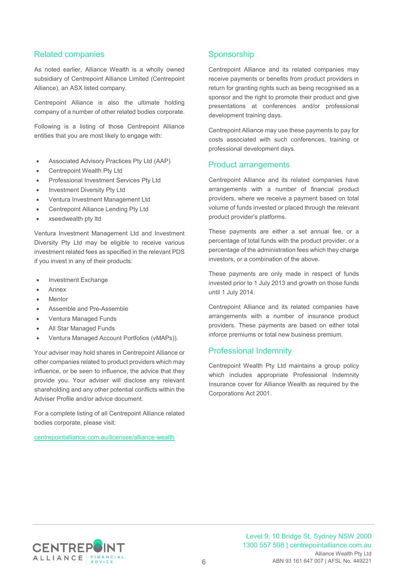### Related companies

As noted earlier, Alliance Wealth is a wholly owned subsidiary of Centrepoint Alliance Limited (Centrepoint Alliance), an ASX listed company.

Centrepoint Alliance is also the ultimate holding company of a number of other related bodies corporate.

Following is a listing of those Centrepoint Alliance entities that you are most likely to engage with:

- Associated Advisory Practices Pty Ltd (AAP)
- Centrepoint Wealth Pty Ltd
- Professional Investment Services Pty Ltd
- Investment Diversity Pty Ltd
- Ventura Investment Management Ltd
- Centrepoint Alliance Lending Pty Ltd
- xseedwealth pty ltd

Ventura Investment Management Ltd and Investment Diversity Pty Ltd may be eligible to receive various investment related fees as specified in the relevant PDS if you invest in any of their products:

- Investment Exchange
- Annex
- **Mentor**
- Assemble and Pre-Assemble
- Ventura Managed Funds
- All Star Managed Funds
- Ventura Managed Account Portfolios (vMAPs)).

Your adviser may hold shares in Centrepoint Alliance or other companies related to product providers which may influence, or be seen to influence, the advice that they provide you. Your adviser will disclose any relevant shareholding and any other potential conflicts within the Adviser Profile and/or advice document.

For a complete listing of all Centrepoint Alliance related bodies corporate, please visit:

[centrepointalliance.com.au/licensee/alliance-wealth](https://www.centrepointalliance.com.au/licensee/alliance-wealth/)

## **Sponsorship**

Centrepoint Alliance and its related companies may receive payments or benefits from product providers in return for granting rights such as being recognised as a sponsor and the right to promote their product and give presentations at conferences and/or professional development training days.

Centrepoint Alliance may use these payments to pay for costs associated with such conferences, training or professional development days.

#### Product arrangements

Centrepoint Alliance and its related companies have arrangements with a number of financial product providers, where we receive a payment based on total volume of funds invested or placed through the relevant product provider's platforms.

These payments are either a set annual fee, or a percentage of total funds with the product provider, or a percentage of the administration fees which they charge investors, or a combination of the above.

These payments are only made in respect of funds invested prior to 1 July 2013 and growth on those funds until 1 July 2014.

Centrepoint Alliance and its related companies have arrangements with a number of insurance product providers. These payments are based on either total inforce premiums or total new business premium.

#### Professional Indemnity

Centrepoint Wealth Pty Ltd maintains a group policy which includes appropriate Professional Indemnity Insurance cover for Alliance Wealth as required by the Corporations Act 2001.